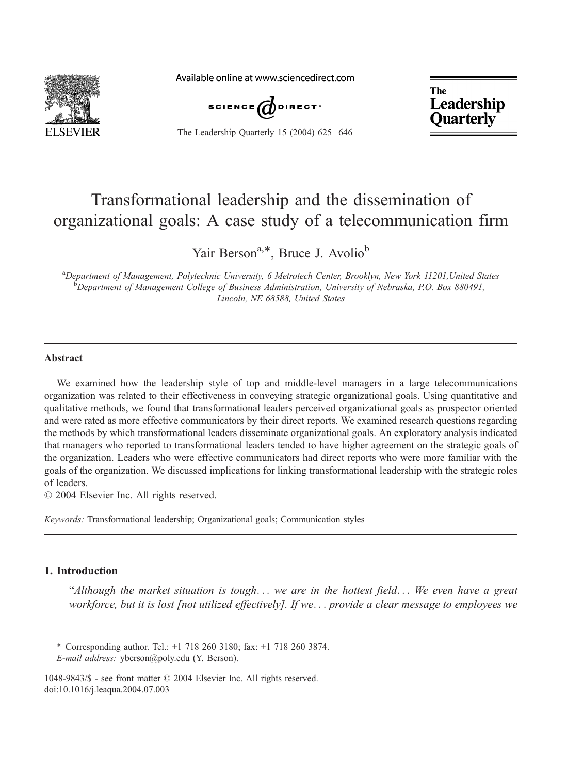

Available online at www.sciencedirect.com



The Leadership Quarterly 15 (2004) 625-646

**The** Leadership **Ouarterly** 

## Transformational leadership and the dissemination of organizational goals: A case study of a telecommunication firm

Yair Berson<sup>a,\*</sup>, Bruce J. Avolio<sup>b</sup>

<sup>a</sup>Department of Management, Polytechnic University, 6 Metrotech Center, Brooklyn, New York 11201, United States<br>bDepartment of Management College of Business Administration, University of Nebraska, P.O. Box 880401 <sup>b</sup>Department of Management College of Business Administration, University of Nebraska, P.O. Box 880491, Lincoln, NE 68588, United States

## Abstract

We examined how the leadership style of top and middle-level managers in a large telecommunications organization was related to their effectiveness in conveying strategic organizational goals. Using quantitative and qualitative methods, we found that transformational leaders perceived organizational goals as prospector oriented and were rated as more effective communicators by their direct reports. We examined research questions regarding the methods by which transformational leaders disseminate organizational goals. An exploratory analysis indicated that managers who reported to transformational leaders tended to have higher agreement on the strategic goals of the organization. Leaders who were effective communicators had direct reports who were more familiar with the goals of the organization. We discussed implications for linking transformational leadership with the strategic roles of leaders.

 $© 2004 Elsevier Inc. All rights reserved.$ 

Keywords: Transformational leadership; Organizational goals; Communication styles

## 1. Introduction

"Although the market situation is tough... we are in the hottest field... We even have a great workforce, but it is lost [not utilized effectively]. If we... provide a clear message to employees we

\* Corresponding author. Tel.: +1 718 260 3180; fax: +1 718 260 3874. E-mail address: yberson@poly.edu (Y. Berson).

1048-9843/\$ - see front matter © 2004 Elsevier Inc. All rights reserved. doi:10.1016/j.leaqua.2004.07.003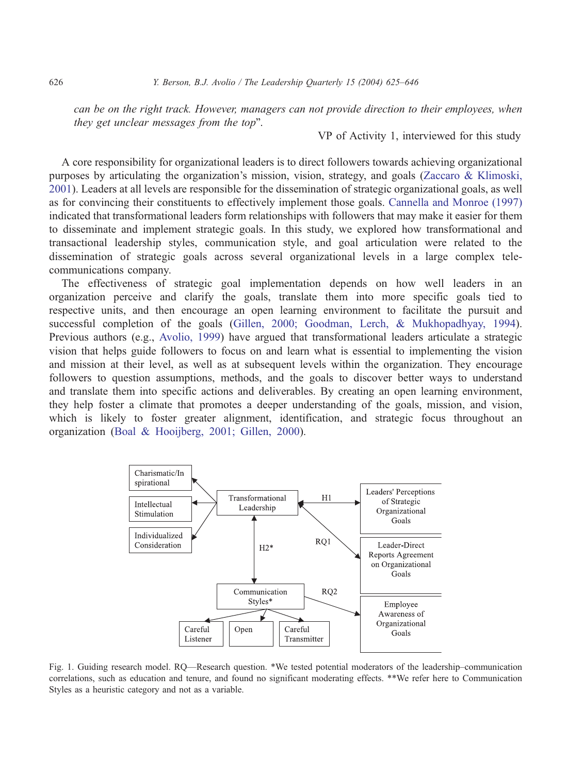can be on the right track. However, managers can not provide direction to their employees, when they get unclear messages from the top".

VP of Activity 1, interviewed for this study

A core responsibility for organizational leaders is to direct followers towards achieving organizational purposes by articulating the organization's mission, vision, strategy, and goals ([Zaccaro & Klimoski,](#page--1-0) 2001). Leaders at all levels are responsible for the dissemination of strategic organizational goals, as well as for convincing their constituents to effectively implement those goals. [Cannella and Monroe \(1997\)](#page--1-0) indicated that transformational leaders form relationships with followers that may make it easier for them to disseminate and implement strategic goals. In this study, we explored how transformational and transactional leadership styles, communication style, and goal articulation were related to the dissemination of strategic goals across several organizational levels in a large complex telecommunications company.

The effectiveness of strategic goal implementation depends on how well leaders in an organization perceive and clarify the goals, translate them into more specific goals tied to respective units, and then encourage an open learning environment to facilitate the pursuit and successful completion of the goals ([Gillen, 2000; Goodman, Lerch, & Mukhopadhyay, 1994\)](#page--1-0). Previous authors (e.g., [Avolio, 1999\)](#page--1-0) have argued that transformational leaders articulate a strategic vision that helps guide followers to focus on and learn what is essential to implementing the vision and mission at their level, as well as at subsequent levels within the organization. They encourage followers to question assumptions, methods, and the goals to discover better ways to understand and translate them into specific actions and deliverables. By creating an open learning environment, they help foster a climate that promotes a deeper understanding of the goals, mission, and vision, which is likely to foster greater alignment, identification, and strategic focus throughout an organization ([Boal & Hooijberg, 2001; Gillen, 2000\)](#page--1-0).



Fig. 1. Guiding research model. RQ—Research question. \*We tested potential moderators of the leadership–communication correlations, such as education and tenure, and found no significant moderating effects. \*\*We refer here to Communication Styles as a heuristic category and not as a variable.